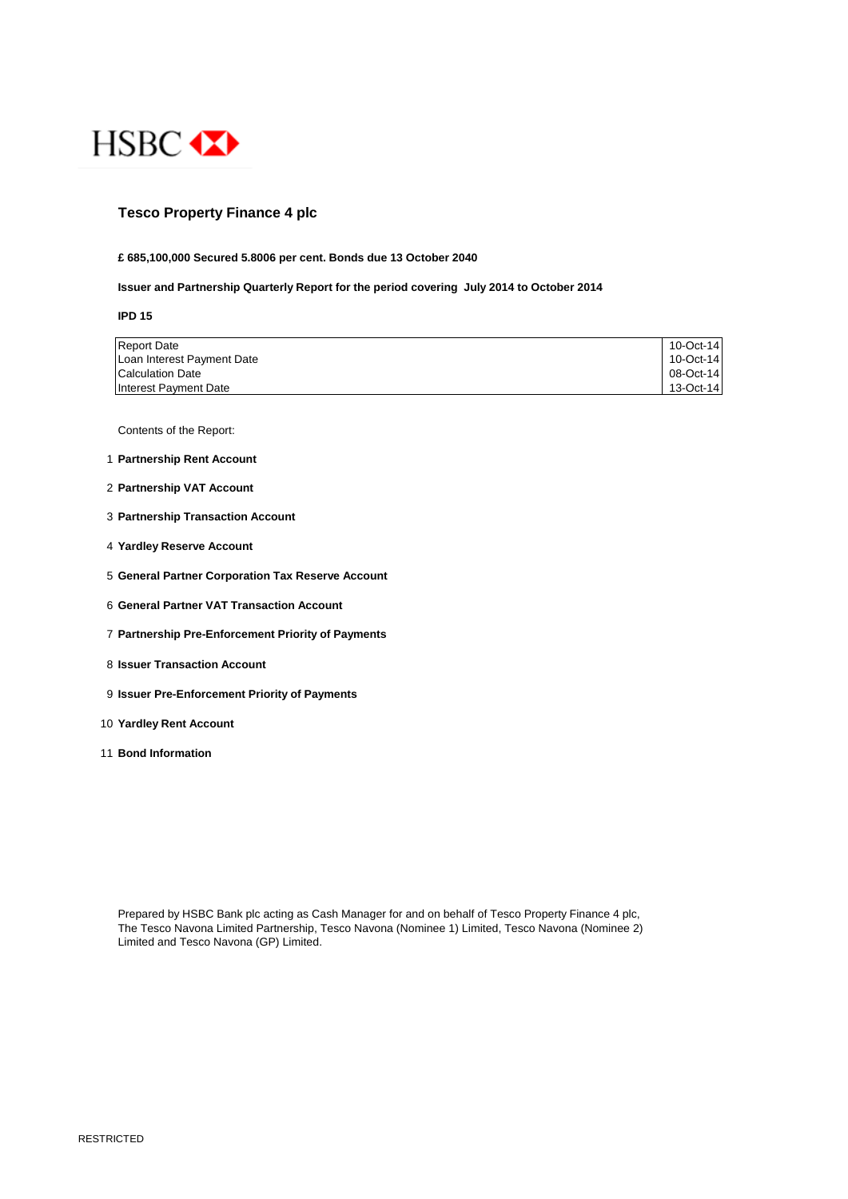

# **Tesco Property Finance 4 plc**

## **£ 685,100,000 Secured 5.8006 per cent. Bonds due 13 October 2040**

### **Issuer and Partnership Quarterly Report for the period covering July 2014 to October 2014**

**IPD 15**

| <b>Report Date</b>         | 10-Oct-14 |
|----------------------------|-----------|
| Loan Interest Payment Date | 10-Oct-14 |
| Calculation Date           | 08-Oct-14 |
| Interest Payment Date      | 13-Oct-14 |

Contents of the Report:

- 1 **Partnership Rent Account**
- 2 **Partnership VAT Account**
- 3 **Partnership Transaction Account**
- 4 **Yardley Reserve Account**
- 5 **General Partner Corporation Tax Reserve Account**
- 6 **General Partner VAT Transaction Account**
- 7 **Partnership Pre-Enforcement Priority of Payments**
- 8 **Issuer Transaction Account**
- 9 **Issuer Pre-Enforcement Priority of Payments**
- 10 **Yardley Rent Account**
- 11 **Bond Information**

Prepared by HSBC Bank plc acting as Cash Manager for and on behalf of Tesco Property Finance 4 plc, The Tesco Navona Limited Partnership, Tesco Navona (Nominee 1) Limited, Tesco Navona (Nominee 2) Limited and Tesco Navona (GP) Limited.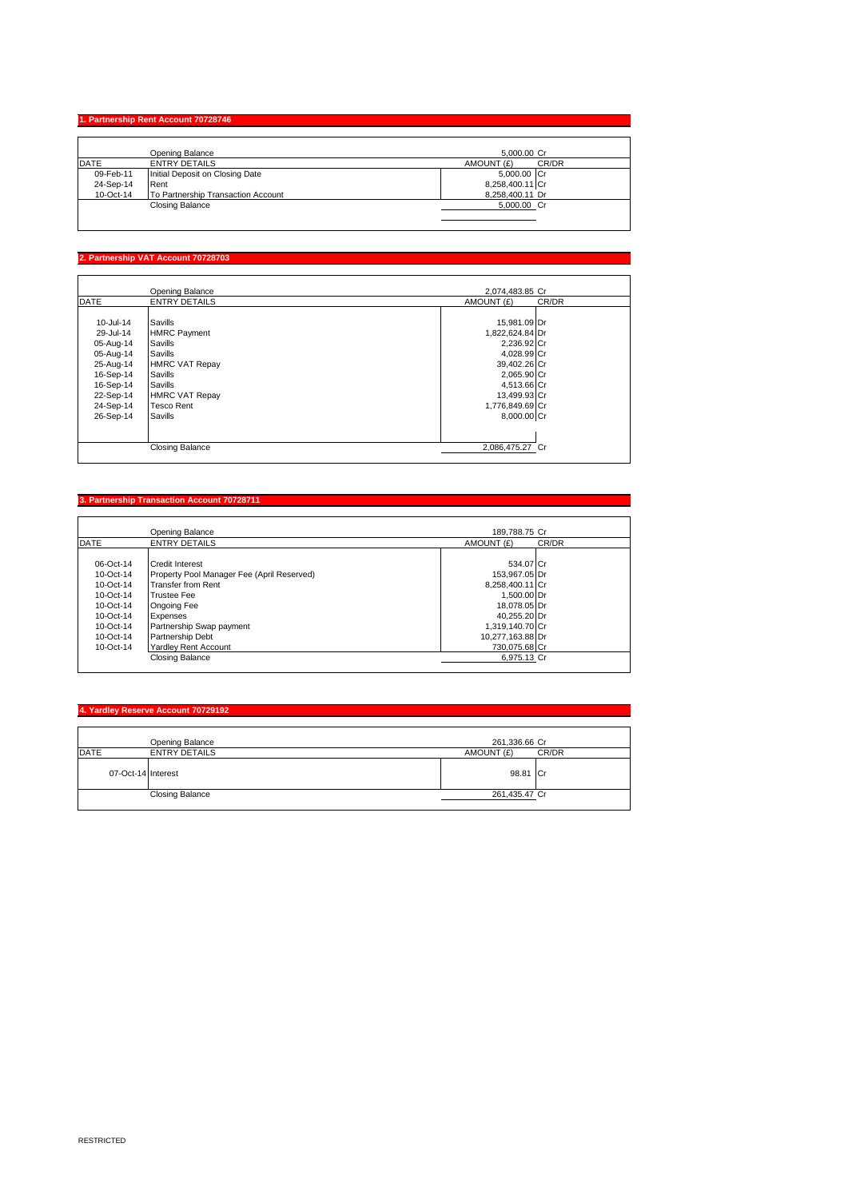#### **1. Partnership Rent Ac**

|             | Opening Balance                    | 5.000.00 Cr         |  |
|-------------|------------------------------------|---------------------|--|
| <b>DATE</b> | ENTRY DETAILS                      | AMOUNT (£)<br>CR/DR |  |
| 09-Feb-11   | Initial Deposit on Closing Date    | 5,000.00 Cr         |  |
| 24-Sep-14   | Rent                               | 8,258,400.11 Cr     |  |
| 10-Oct-14   | To Partnership Transaction Account | 8,258,400.11 Dr     |  |
|             | <b>Closing Balance</b>             | 5,000.00 Cr         |  |
|             |                                    |                     |  |

## **2. Partnership VAT Account 70728703**

I

|             | Opening Balance        | 2,074,483.85 Cr     |
|-------------|------------------------|---------------------|
| <b>DATE</b> | <b>ENTRY DETAILS</b>   | AMOUNT (£)<br>CR/DR |
|             |                        |                     |
| 10-Jul-14   | Savills                | 15,981.09 Dr        |
| 29-Jul-14   | <b>HMRC Payment</b>    | 1,822,624.84 Dr     |
| 05-Aug-14   | Savills                | 2,236.92 Cr         |
| 05-Aug-14   | Savills                | 4,028.99 Cr         |
| 25-Aug-14   | <b>HMRC VAT Repay</b>  | 39,402.26 Cr        |
| 16-Sep-14   | Savills                | 2,065.90 Cr         |
| 16-Sep-14   | Savills                | 4,513.66 Cr         |
| 22-Sep-14   | <b>HMRC VAT Repay</b>  | 13,499.93 Cr        |
| 24-Sep-14   | <b>Tesco Rent</b>      | 1,776,849.69 Cr     |
| 26-Sep-14   | Savills                | 8,000.00 Cr         |
|             |                        |                     |
|             | <b>Closing Balance</b> | 2,086,475.27 Cr     |

#### **Partnership Transaction Account 7072871**

|               | Opening Balance                            | 189.788.75 Cr    |       |
|---------------|--------------------------------------------|------------------|-------|
| DATE          | <b>ENTRY DETAILS</b>                       | AMOUNT (£)       | CR/DR |
|               |                                            |                  |       |
| $06 - Oct-14$ | Credit Interest                            | 534.07 Cr        |       |
| $10-Ort-14$   | Property Pool Manager Fee (April Reserved) | 153.967.05 Dr    |       |
| $10-Ort-14$   | <b>Transfer from Rent</b>                  | 8.258.400.11 Cr  |       |
| $10-Ort-14$   | <b>Trustee Fee</b>                         | 1.500.00 Dr      |       |
| $10-Ort-14$   | Ongoing Fee                                | 18.078.05 Dr     |       |
| $10-Ort-14$   | Expenses                                   | 40.255.20 Dr     |       |
| 10-Oct-14     | Partnership Swap payment                   | 1.319.140.70 Cr  |       |
| $10-Ort-14$   | Partnership Debt                           | 10,277,163.88 Dr |       |
| $10-Ort-14$   | <b>Yardley Rent Account</b>                | 730.075.68 Cr    |       |
|               | Closing Balance                            | 6,975.13 Cr      |       |

# **4. Yardley Reserve Account 70729192**

|                    | Opening Balance        | 261,336.66 Cr       |  |
|--------------------|------------------------|---------------------|--|
| <b>DATE</b>        | <b>ENTRY DETAILS</b>   | AMOUNT (£)<br>CR/DR |  |
| 07-Oct-14 Interest |                        | 98.81 Cr            |  |
|                    | <b>Closing Balance</b> | 261,435.47 Cr       |  |
|                    |                        |                     |  |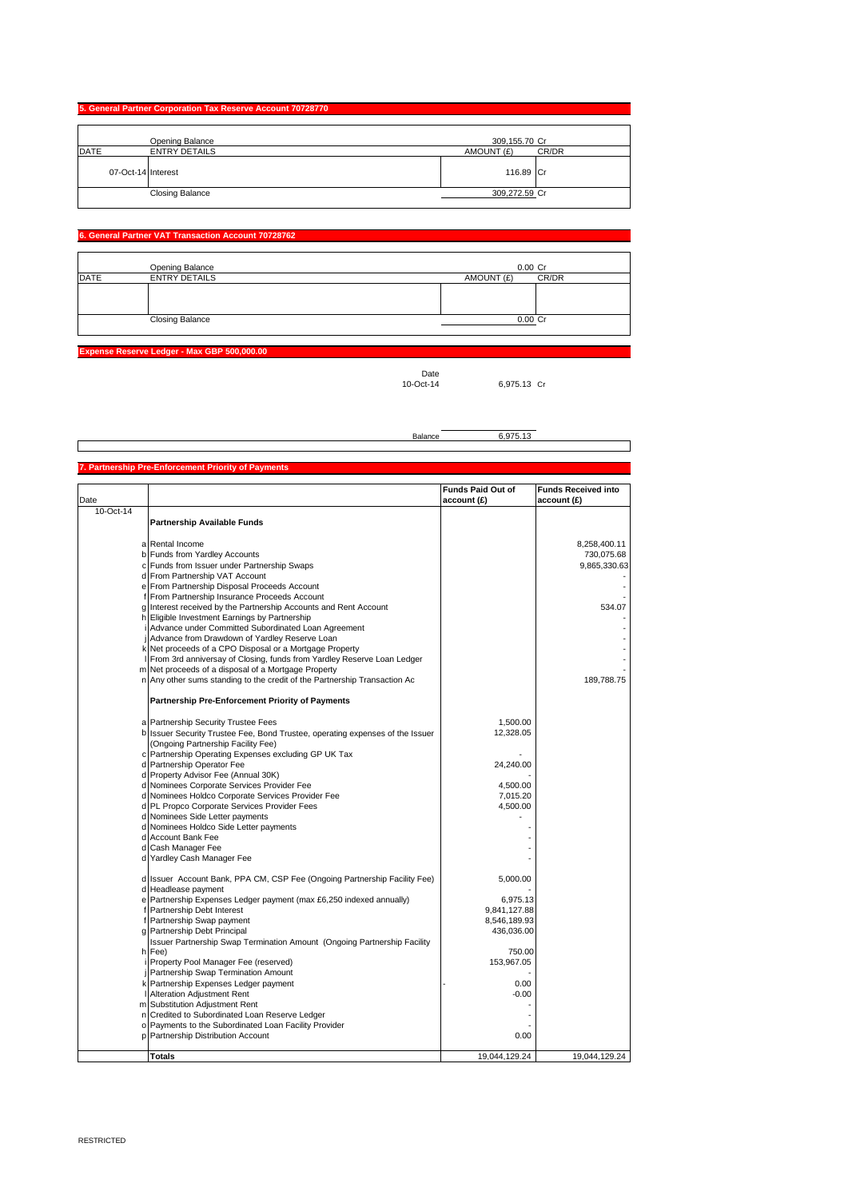| 5. General Partner Corporation Tax Reserve Account 70728770 |                                         |                             |       |
|-------------------------------------------------------------|-----------------------------------------|-----------------------------|-------|
| DATE                                                        | Opening Balance<br><b>ENTRY DETAILS</b> | 309,155.70 Cr<br>AMOUNT (£) | CR/DR |
| 07-Oct-14 Interest                                          |                                         | 116.89 Cr                   |       |
|                                                             | <b>Closing Balance</b>                  | 309,272.59 Cr               |       |

#### **6. General Partner VAT Transaction Account 70728762**

|             | Opening Balance        | 0.00 Cr    |       |
|-------------|------------------------|------------|-------|
| <b>DATE</b> | <b>ENTRY DETAILS</b>   | AMOUNT (£) | CR/DR |
|             |                        |            |       |
|             |                        |            |       |
|             |                        |            |       |
|             | <b>Closing Balance</b> | $0.00$ Cr  |       |
|             |                        |            |       |

**Expense Reserve Ledger - Max GBP 500,000.00**

Date<br>10-Oct-14 6,975.13 Cr

 $\overline{\phantom{0}}$ 

|                                                     | Balance | 6.975.13 |  |
|-----------------------------------------------------|---------|----------|--|
|                                                     |         |          |  |
|                                                     |         |          |  |
| 7. Partnership Pre-Enforcement Priority of Payments |         |          |  |

|           |                                                                                                                   | <b>Funds Paid Out of</b>   | <b>Funds Received into</b> |
|-----------|-------------------------------------------------------------------------------------------------------------------|----------------------------|----------------------------|
| Date      |                                                                                                                   | account(E)                 | account (£)                |
| 10-Oct-14 |                                                                                                                   |                            |                            |
|           | Partnership Available Funds                                                                                       |                            |                            |
|           |                                                                                                                   |                            |                            |
|           | a Rental Income                                                                                                   |                            | 8,258,400.11               |
|           | b Funds from Yardley Accounts                                                                                     |                            | 730,075.68                 |
|           | c Funds from Issuer under Partnership Swaps                                                                       |                            | 9,865,330.63               |
|           | d From Partnership VAT Account                                                                                    |                            |                            |
|           | e From Partnership Disposal Proceeds Account                                                                      |                            |                            |
|           | f From Partnership Insurance Proceeds Account<br>g Interest received by the Partnership Accounts and Rent Account |                            | 534.07                     |
|           | h Eligible Investment Earnings by Partnership                                                                     |                            |                            |
|           | i Advance under Committed Subordinated Loan Agreement                                                             |                            |                            |
|           | Advance from Drawdown of Yardley Reserve Loan                                                                     |                            |                            |
|           | k Net proceeds of a CPO Disposal or a Mortgage Property                                                           |                            |                            |
|           | I From 3rd anniversay of Closing, funds from Yardley Reserve Loan Ledger                                          |                            |                            |
|           | m Net proceeds of a disposal of a Mortgage Property                                                               |                            |                            |
|           | n Any other sums standing to the credit of the Partnership Transaction Ac                                         |                            | 189,788.75                 |
|           |                                                                                                                   |                            |                            |
|           | Partnership Pre-Enforcement Priority of Payments                                                                  |                            |                            |
|           |                                                                                                                   |                            |                            |
|           | a Partnership Security Trustee Fees                                                                               | 1,500.00                   |                            |
|           | b Issuer Security Trustee Fee, Bond Trustee, operating expenses of the Issuer                                     | 12,328.05                  |                            |
|           | (Ongoing Partnership Facility Fee)                                                                                |                            |                            |
|           | c Partnership Operating Expenses excluding GP UK Tax                                                              |                            |                            |
|           | d Partnership Operator Fee                                                                                        | 24,240.00                  |                            |
|           | d Property Advisor Fee (Annual 30K)                                                                               |                            |                            |
|           | d Nominees Corporate Services Provider Fee                                                                        | 4,500.00                   |                            |
|           | d Nominees Holdco Corporate Services Provider Fee                                                                 | 7,015.20                   |                            |
|           | d PL Propco Corporate Services Provider Fees                                                                      | 4,500.00                   |                            |
|           | d Nominees Side Letter payments                                                                                   |                            |                            |
|           | d Nominees Holdco Side Letter payments                                                                            |                            |                            |
|           | d Account Bank Fee                                                                                                |                            |                            |
|           | d Cash Manager Fee                                                                                                |                            |                            |
|           | d Yardley Cash Manager Fee                                                                                        |                            |                            |
|           |                                                                                                                   |                            |                            |
|           | d Issuer Account Bank, PPA CM, CSP Fee (Ongoing Partnership Facility Fee)                                         | 5,000.00                   |                            |
|           | d Headlease payment                                                                                               |                            |                            |
|           | e Partnership Expenses Ledger payment (max £6,250 indexed annually)                                               | 6,975.13                   |                            |
|           | f Partnership Debt Interest                                                                                       | 9,841,127.88               |                            |
|           | f Partnership Swap payment<br>g Partnership Debt Principal                                                        | 8,546,189.93<br>436,036.00 |                            |
|           |                                                                                                                   |                            |                            |
|           | Issuer Partnership Swap Termination Amount (Ongoing Partnership Facility<br>h Fee)                                | 750.00                     |                            |
|           | Property Pool Manager Fee (reserved)                                                                              | 153,967.05                 |                            |
| j         | Partnership Swap Termination Amount                                                                               |                            |                            |
|           | k Partnership Expenses Ledger payment                                                                             | 0.00                       |                            |
|           | Alteration Adjustment Rent                                                                                        | $-0.00$                    |                            |
|           | m Substitution Adjustment Rent                                                                                    |                            |                            |
|           | n Credited to Subordinated Loan Reserve Ledger                                                                    |                            |                            |
|           | o Payments to the Subordinated Loan Facility Provider                                                             |                            |                            |
|           | p Partnership Distribution Account                                                                                | 0.00                       |                            |
|           |                                                                                                                   |                            |                            |
|           | <b>Totals</b>                                                                                                     | 19,044,129.24              | 19,044,129.24              |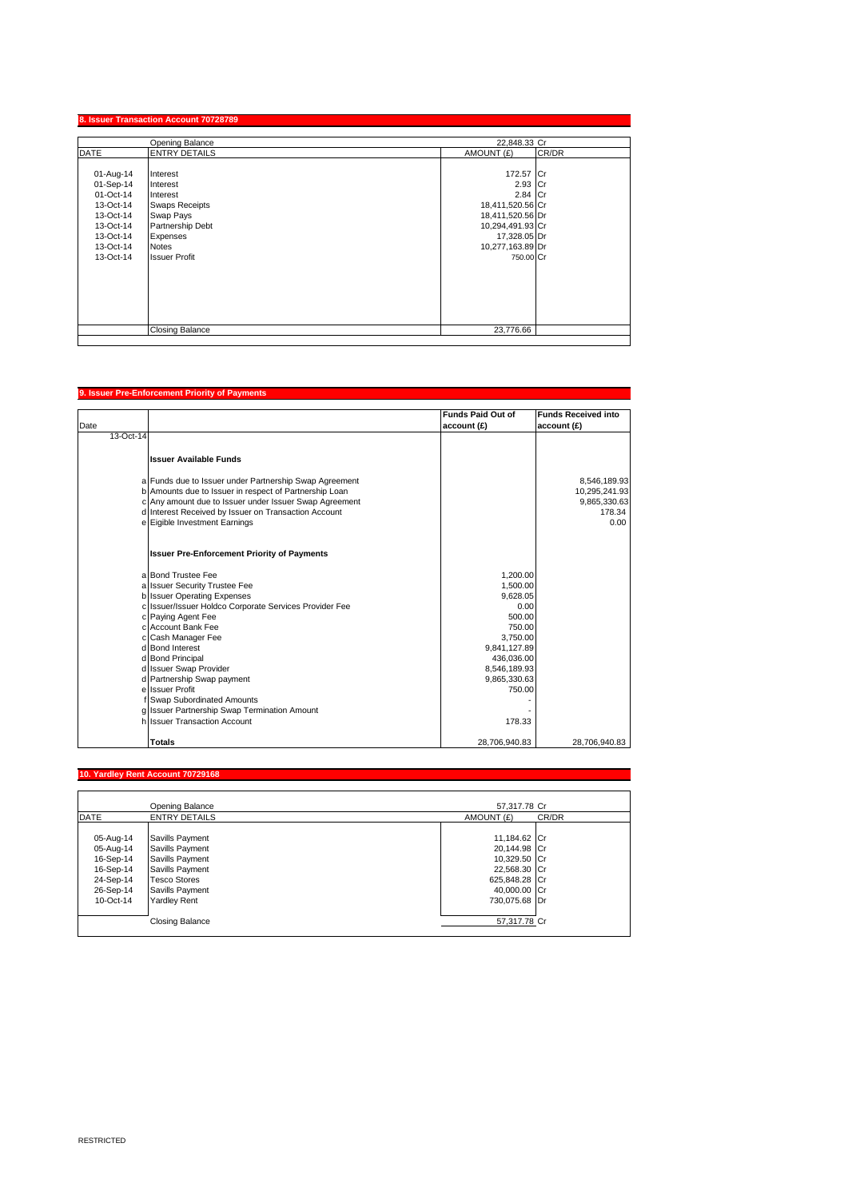|             | Opening Balance        | 22.848.33 Cr     |       |
|-------------|------------------------|------------------|-------|
| <b>DATE</b> | <b>ENTRY DETAILS</b>   | AMOUNT (£)       | CR/DR |
| 01-Aug-14   | Interest               | 172.57 Cr        |       |
| 01-Sep-14   | Interest               | 2.93 Cr          |       |
| 01-Oct-14   | Interest               | 2.84 Cr          |       |
| 13-Oct-14   | <b>Swaps Receipts</b>  | 18,411,520.56 Cr |       |
| 13-Oct-14   | Swap Pays              | 18,411,520.56 Dr |       |
| 13-Oct-14   | Partnership Debt       | 10,294,491.93 Cr |       |
| 13-Oct-14   | Expenses               | 17,328.05 Dr     |       |
| 13-Oct-14   | <b>Notes</b>           | 10,277,163.89 Dr |       |
| 13-Oct-14   | <b>Issuer Profit</b>   | 750.00 Cr        |       |
|             |                        |                  |       |
|             |                        |                  |       |
|             |                        |                  |       |
|             |                        |                  |       |
|             |                        |                  |       |
|             | <b>Closing Balance</b> | 23,776.66        |       |

### **9. Issuer Pre-Enforcement Priority of Payments**

| Date      |                                                                                                                  | <b>Funds Paid Out of</b><br>account (£) | <b>Funds Received into</b><br>account (£) |
|-----------|------------------------------------------------------------------------------------------------------------------|-----------------------------------------|-------------------------------------------|
| 13-Oct-14 |                                                                                                                  |                                         |                                           |
|           | <b>Issuer Available Funds</b>                                                                                    |                                         |                                           |
|           | a Funds due to Issuer under Partnership Swap Agreement<br>b Amounts due to Issuer in respect of Partnership Loan |                                         | 8,546,189.93<br>10,295,241.93             |
|           | c Any amount due to Issuer under Issuer Swap Agreement                                                           |                                         | 9,865,330.63                              |
|           | d Interest Received by Issuer on Transaction Account                                                             |                                         | 178.34                                    |
|           | e Eigible Investment Earnings                                                                                    |                                         | 0.00                                      |
|           | <b>Issuer Pre-Enforcement Priority of Payments</b>                                                               |                                         |                                           |
|           | a Bond Trustee Fee                                                                                               | 1.200.00                                |                                           |
|           | a Issuer Security Trustee Fee                                                                                    | 1,500.00                                |                                           |
|           | b Issuer Operating Expenses                                                                                      | 9.628.05                                |                                           |
|           | c Issuer/Issuer Holdco Corporate Services Provider Fee                                                           | 0.00                                    |                                           |
|           | c Paying Agent Fee<br>c Account Bank Fee                                                                         | 500.00                                  |                                           |
|           | c Cash Manager Fee                                                                                               | 750.00<br>3.750.00                      |                                           |
|           | d Bond Interest                                                                                                  | 9,841,127.89                            |                                           |
|           | d Bond Principal                                                                                                 | 436,036.00                              |                                           |
|           | d Issuer Swap Provider                                                                                           | 8,546,189.93                            |                                           |
|           | d Partnership Swap payment                                                                                       | 9,865,330.63                            |                                           |
|           | e Issuer Profit                                                                                                  | 750.00                                  |                                           |
|           | f Swap Subordinated Amounts                                                                                      |                                         |                                           |
|           | g Issuer Partnership Swap Termination Amount                                                                     |                                         |                                           |
|           | h Issuer Transaction Account                                                                                     | 178.33                                  |                                           |
|           | <b>Totals</b>                                                                                                    | 28,706,940.83                           | 28.706.940.83                             |

|             | 10. Yardley Rent Account 70729168 |                     |  |
|-------------|-----------------------------------|---------------------|--|
|             |                                   |                     |  |
|             | Opening Balance                   | 57.317.78 Cr        |  |
| <b>DATE</b> | <b>ENTRY DETAILS</b>              | AMOUNT (£)<br>CR/DR |  |
|             |                                   |                     |  |
| 05-Aug-14   | Savills Payment                   | 11,184.62 Cr        |  |
| 05-Aug-14   | Savills Payment                   | 20,144.98 Cr        |  |
| 16-Sep-14   | Savills Payment                   | 10,329.50 Cr        |  |
| 16-Sep-14   | Savills Payment                   | 22,568.30 Cr        |  |
| 24-Sep-14   | <b>Tesco Stores</b>               | 625,848.28 Cr       |  |
| 26-Sep-14   | Savills Payment                   | 40,000.00 Cr        |  |
| 10-Oct-14   | Yardley Rent                      | 730.075.68 Dr       |  |
|             |                                   |                     |  |
|             | <b>Closing Balance</b>            | 57,317.78 Cr        |  |